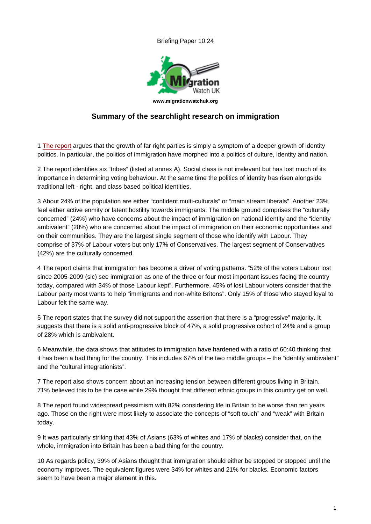www.migrationwatchuk.org

## Summary of the searchlight research on immigration

1 The report argues that the growth of far right parties is simply a symptom of a deeper growth of identity politics. In particular, the politics of immigration have morphed into a politics of culture, identity and nation.

2 The report identifies six "tribes" (listed at annex A). Social class is not irrelevant but has lost much of its i[mportance i](http://www.fearandhope.org.uk/project-report/introduction)n determining voting behaviour. At the same time the politics of identity has risen alongside traditional left - right, and class based political identities.

3 About 24% of the population are either "confident multi-culturals" or "main stream liberals". Another 23% feel either active enmity or latent hostility towards immigrants. The middle ground comprises the "culturally concerned" (24%) who have concerns about the impact of immigration on national identity and the "identity ambivalent" (28%) who are concerned about the impact of immigration on their economic opportunities and on their communities. They are the largest single segment of those who identify with Labour. They comprise of 37% of Labour voters but only 17% of Conservatives. The largest segment of Conservatives (42%) are the culturally concerned.

4 The report claims that immigration has become a driver of voting patterns. "52% of the voters Labour lost since 2005-2009 (sic) see immigration as one of the three or four most important issues facing the country today, compared with 34% of those Labour kept". Furthermore, 45% of lost Labour voters consider that the Labour party most wants to help "immigrants and non-white Britons". Only 15% of those who stayed loyal to Labour felt the same way.

5 The report states that the survey did not support the assertion that there is a "progressive" majority. It suggests that there is a solid anti-progressive block of 47%, a solid progressive cohort of 24% and a group of 28% which is ambivalent.

6 Meanwhile, the data shows that attitudes to immigration have hardened with a ratio of 60:40 thinking that it has been a bad thing for the country. This includes 67% of the two middle groups – the "identity ambivalent" and the "cultural integrationists".

7 The report also shows concern about an increasing tension between different groups living in Britain. 71% believed this to be the case while 29% thought that different ethnic groups in this country get on well.

8 The report found widespread pessimism with 82% considering life in Britain to be worse than ten years ago. Those on the right were most likely to associate the concepts of "soft touch" and "weak" with Britain today.

9 It was particularly striking that 43% of Asians (63% of whites and 17% of blacks) consider that, on the whole, immigration into Britain has been a bad thing for the country.

10 As regards policy, 39% of Asians thought that immigration should either be stopped or stopped until the economy improves. The equivalent figures were 34% for whites and 21% for blacks. Economic factors seem to have been a major element in this.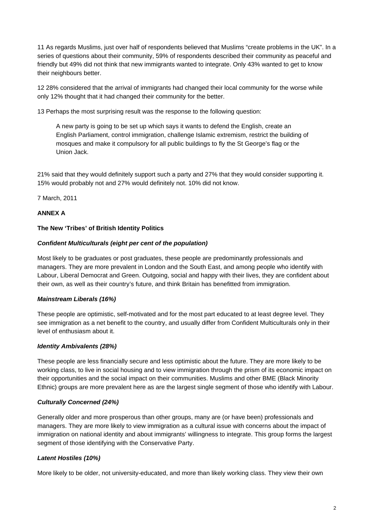11 As regards Muslims, just over half of respondents believed that Muslims "create problems in the UK". In a series of questions about their community, 59% of respondents described their community as peaceful and friendly but 49% did not think that new immigrants wanted to integrate. Only 43% wanted to get to know their neighbours better.

12 28% considered that the arrival of immigrants had changed their local community for the worse while only 12% thought that it had changed their community for the better.

13 Perhaps the most surprising result was the response to the following question:

A new party is going to be set up which says it wants to defend the English, create an English Parliament, control immigration, challenge Islamic extremism, restrict the building of mosques and make it compulsory for all public buildings to fly the St George's flag or the Union Jack.

21% said that they would definitely support such a party and 27% that they would consider supporting it. 15% would probably not and 27% would definitely not. 10% did not know.

7 March, 2011

#### **ANNEX A**

### **The New 'Tribes' of British Identity Politics**

#### **Confident Multiculturals (eight per cent of the population)**

Most likely to be graduates or post graduates, these people are predominantly professionals and managers. They are more prevalent in London and the South East, and among people who identify with Labour, Liberal Democrat and Green. Outgoing, social and happy with their lives, they are confident about their own, as well as their country's future, and think Britain has benefitted from immigration.

#### **Mainstream Liberals (16%)**

These people are optimistic, self-motivated and for the most part educated to at least degree level. They see immigration as a net benefit to the country, and usually differ from Confident Multiculturals only in their level of enthusiasm about it.

#### **Identity Ambivalents (28%)**

These people are less financially secure and less optimistic about the future. They are more likely to be working class, to live in social housing and to view immigration through the prism of its economic impact on their opportunities and the social impact on their communities. Muslims and other BME (Black Minority Ethnic) groups are more prevalent here as are the largest single segment of those who identify with Labour.

#### **Culturally Concerned (24%)**

Generally older and more prosperous than other groups, many are (or have been) professionals and managers. They are more likely to view immigration as a cultural issue with concerns about the impact of immigration on national identity and about immigrants' willingness to integrate. This group forms the largest segment of those identifying with the Conservative Party.

#### **Latent Hostiles (10%)**

More likely to be older, not university-educated, and more than likely working class. They view their own